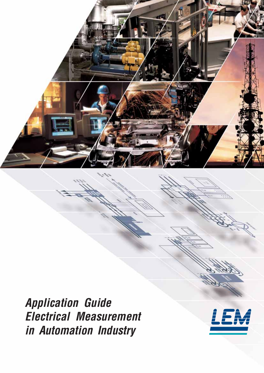

Application Guide Electrical Measurement in Automation Industry

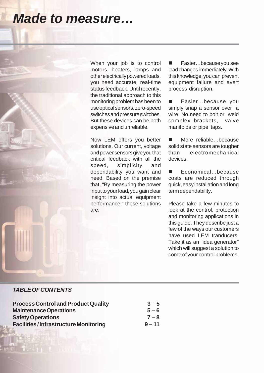# *Made to measure…*

When your job is to control motors, heaters, lamps and other electrically powered loads, you need accurate, real-time status feedback. Until recently, the traditional approach to this monitoring problem has been to use optical sensors, zero-speed switches and pressure switches. But these devices can be both expensive and unreliable.

Now LEM offers you better solutions. Our current, voltage and power sensors give you that critical feedback with all the speed, simplicity and dependability you want and need. Based on the premise that, "By measuring the power input to your load, you gain clear insight into actual equipment performance," these solutions are:

 Faster…because you see load changes immediately. With this knowledge, you can prevent equipment failure and avert process disruption.

 Easier…because you simply snap a sensor over a wire. No need to bolt or weld complex brackets, valve manifolds or pipe taps.

■ More reliable…because solid state sensors are tougher than electromechanical devices.

■ Economical…because costs are reduced through quick, easy installation and long term dependability.

Please take a few minutes to look at the control, protection and monitoring applications in this guide. They describe just a few of the ways our customers have used LEM tranducers. Take it as an "idea generator" which will suggest a solution to come of your control problems.

### *TABLE OF CONTENTS*

2

| <b>Process Control and Product Quality</b>                                                               | $3 - 5$                        |
|----------------------------------------------------------------------------------------------------------|--------------------------------|
| <b>Maintenance Operations</b><br><b>Safety Operations</b><br><b>Facilities/Infrastructure Monitoring</b> | $5 - 6$<br>$7 - 8$<br>$9 - 11$ |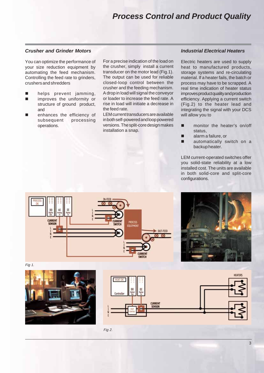### *Process Control and Product Quality*

### *Crusher and Grinder Motors*

You can optimize the performance of your size reduction equipment by automating the feed mechanism. Controlling the feed rate to grinders, crushers and shredders

- **n** helps prevent jamming,
- **n** improves the uniformity or structure of ground product, and
- enhances the efficiency of subsequent processing operations.

For a precise indication of the load on the crusher, simply install a current transducer on the motor lead (Fig.1). The output can be used for reliable closed-loop control between the crusher and the feeding mechanism. A drop in load will signal the conveyor or loader to increase the feed rate. A rise in load will initiate a decrease in the feed rate.

LEM current transducers are available in both self-powered and loop powered versions. The split-core design makes installation a snap.

#### *Industrial Electrical Heaters*

Electric heaters are used to supply heat to manufactured products, storage systems and re-circulating material. If a heater fails, the batch or process may have to be scrapped. A real time indication of heater status improves product quality and production efficiency. Applying a current switch (Fig.2) to the heater lead and integrating the signal with your DCS will allow you to

- monitor the heater's on/off status,
- **alarm a failure, or**
- **automatically switch on a** backup heater.

LEM current-operated switches offer you solid-state reliability at a low installed cost. The units are available in both solid-core and split-core configurations.





Fig 1.



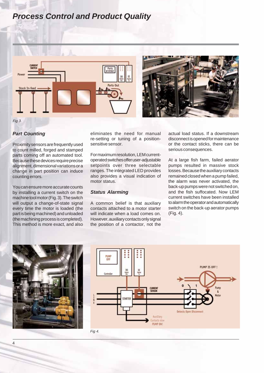### *Process Control and Product Quality*





Fig 3.

### *Part Counting*

Proximity sensors are frequently used to count milled, forged and stamped parts coming off an automated tool. Because these devices require precise alignment, dimensional variations or a change in part position can induce counting errors.

You can ensure more accurate counts by installing a current switch on the machine tool motor (Fig. 3). The switch will output a change-of-state signal every time the motor is loaded (the part is being machined) and unloaded (the machining process is completed). This method is more exact, and also eliminates the need for manual re-setting or tuning of a positionsensitive sensor.

For maximum resolution, LEM currentoperated switches offer user-adjustable setpoints over three selectable ranges. The integrated LED provides also provides a visual indication of motor status.

### *Status Alarming*

A common belief is that auxiliary contacts attached to a motor starter will indicate when a load comes on. However, auxiliary contacts only signal the position of a contactor, not the actual load status. If a downstream disconnect is opened for maintenance or the contact sticks, there can be serious consequences.

At a large fish farm, failed aerator pumps resulted in massive stock losses. Because the auxiliary contacts remained closed when a pump failed, the alarm was never activated, the back-up pumps were not switched on, and the fish suffocated. Now LEM current switches have been installed to alarm the operator and automatically switch on the back-up aerator pumps (Fig. 4).



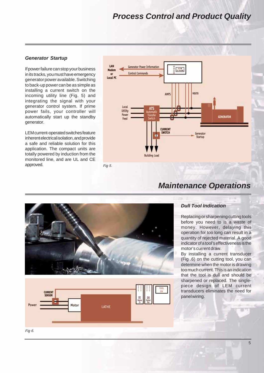### *Process Control and Product Quality*

### *Generator Startup*

If power failure can stop your business in its tracks, you must have emergency generator power available. Switching to back-up power can be as simple as installing a current switch on the incoming utility line (Fig. 5) and integrating the signal with your generator control system. If prime power fails, your controller will automatically start up the standby generator.

LEM current-operated switches feature inherent electrical isolation, and provide a safe and reliable solution for this application. The compact units are totally powered by induction from the monitored line, and are UL and CE approved.







# *Maintenance Operations*

### *Dull Tool Indication*

Replacing or sharpening cutting tools before you need to is a waste of money. However, delaying this operation for too long can result in a quantity of rejected material. A good indicator of a tool's effectiveness is the motor's current draw.

By installing a current transducer (Fig .6) on the cutting tool, you can determine when the motor is drawing too much current. This is an indication that the tool is dull and should be sharpened or replaced. The singlepiece design of LEM current transducers eliminates the need for panel wiring.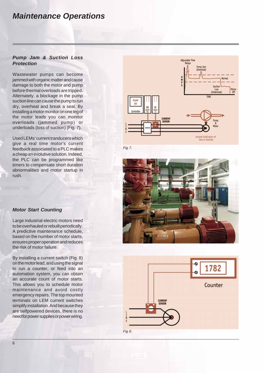### *Maintenance Operations*

### *Pump Jam & Suction Loss Protection*

Wastewater pumps can become jammed with organic matter and cause damage to both the motor and pump before thermal overloads are tripped. Alternately, a blockage in the pump suction line can cause the pump to run dry, overheat and break a seal. By installing a motor monitor on one leg of the motor leads you can monitor overloads (jammed pump) or underloads (loss of suction) (Fig. 7).

Used LEMs' current tranducers which give a real time motor's current feedback associated to a PLC makes a cheap an evolutive solution. Indeed, the PLC can be programmed like timers to compensate short duration abnormalities and motor startup in rush.



Fig 7.





### *Motor Start Counting*

Large industrial electric motors need to be overhauled or rebuilt periodically. A predictive maintenance schedule, based on the number of motor starts, ensures proper operation and reduces the risk of motor failure.

By installing a current switch (Fig. 8) on the motor lead, and using the signal to run a counter, or feed into an automation system, you can obtain an accurate count of motor starts. This allows you to schedule motor maintenance and avoid costly emergency repairs. The top mounted terminals on LEM current switches simplify installation. And because they are selfpowered devices, there is no need for power supplies or power wiring.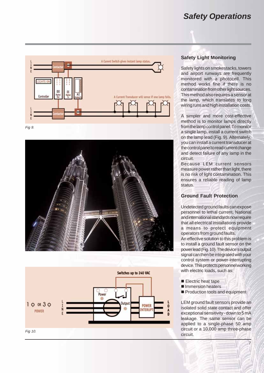### *Safety Operations*



Fig 9.





### **Safety Light Monitoring**

Safety lights on smokestacks, towers and airport runways are frequently monitored with a photocell. This method works fine if there is no contamination from other light sources. This method also requires a sensor at the lamp, which translates to long wiring runs and high installation costs.

A simpler and more cost-effective method is to monitor lamps directly from the lamp control panel. To monitor a single lamp, install a current switch on the lamp lead (Fig. 9). Alternately, you can install a current transducer at the control panel to read current change and detect failure of any lamp in the circuit.

Because LEM current sensors measure power rather than light, there is no risk of light contamination. This ensures a reliable reading of lamp status.

### **Ground Fault Protection**

Undetected ground faults can expose personnel to lethal current. National and international standards now require that all electrical installations provide a means to protect equipment operators from ground faults.

An effective solution to this problem is to install a ground fault sensor on the power lead (Fig. 10). The device's output signal can then be integrated with your control system or power-interrupting device. This protects personnel working with electric loads, such as:

- **Electric heat tape**
- Immersion heaters
- Production tools and equipment

LEM ground fault sensors provide an isolated solid state contact and offer exceptional sensitivity - down to 5 mA leakage. The same sensor can be applied to a single-phase 50 amp circuit or a 10,000 amp three-phase circuit.

7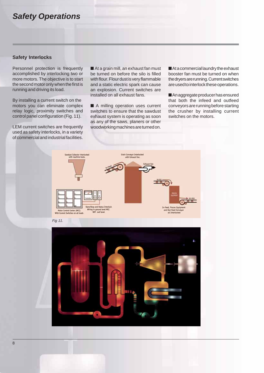### *Safety Operations*

#### **Safety Interlocks**

Personnel protection is frequently accomplished by interlocking two or more motors. The objective is to start the second motor only when the first is running and driving its load.

By installing a current switch on the motors you can eliminate complex relay logic, proximity switches and control panel configuration (Fig. 11).

LEM current switches are frequently used as safety interlocks, in a variety of commercial and industrial facilities.

■ At a grain mill, an exhaust fan must be turned on before the silo is filled with flour. Flour dust is very flammable and a static electric spark can cause an explosion. Current switches are installed on all exhaust fans.

■ A milling operation uses current switches to ensure that the sawdust exhaust system is operating as soon as any of the saws, planers or other woodworking machines are turned on.

■ At a commercial laundry the exhaust booster fan must be turned on when the dryers are running. Current switches are used to interlock these operations.

■ An aggregate producer has ensured that both the infeed and outfeed conveyors are running before starting the crusher by installing current switches on the motors.



Fig 11.

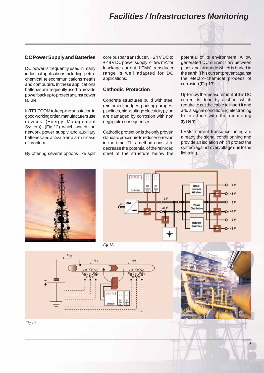## *Facilities / Infrastructures Monitoring*



### **DC Power Supply and Batteries**

DC power is frequently used in many industrial applications including, petrochemical, telecommunications metals and computers. In these applications batteries are frequently used to provide power back up to protect against power failure.

In TELECOM to keep the substation in good working order, manufacturers use devices (Energy Management System), (Fig.12) which watch the network power supply and auxiliary batteries and activate an alarm in case of problem.

By offering several options like split

core busbar transducer, + 24 V DC to + 48 V DC power supply, or few mA for leackage current. LEMs' transducer range is well adapted for DC applications.

#### **Cathodic Protection**

Concrete structures build with steel reinforced, bridges, parking garages, pipelines, high voltage electricity pylon are damaged by corrosion with non negligible consequences.

Cathodic protection is the only proven standard procedure to reduce corrosion in the time. This method consist to decrease the potential of the reinrced steel of the structure below the potential of its environment. A low generated DC current flow between pipes and an anode which is buried in the earth. This current prevent against the electro-chemical process of corrosion (Fig.13).

Up to now the measurement of this DC current is done by a shunt which require to cut the cable to insert it and add a signal conditioning electroning to interface with the monitoring system.

LEMs' current transducer integrate already the signal conditionning and provide an isolation which protect the system against overvoltage due to the lightning.





Fig 12.





Fig 13.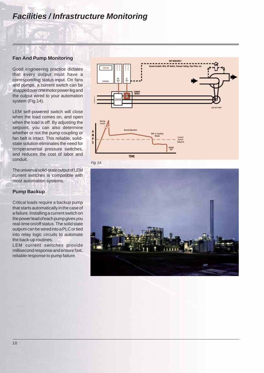## *Facilities / Infrastructure Monitoring*

#### **Fan And Pump Monitoring**

Good engineering practice dictates that every output must have a corresponding status input. On fans and pumps, a current switch can be snapped over one motor power leg and the output wired to your automation system (Fig.14).

LEM self-powered switch will close when the load comes on, and open when the load is off. By adjusting the setpoint, you can also determine whether or not the pump coupling or fan belt is intact. This reliable, solidstate solution eliminates the need for temperamental pressure switches, and reduces the cost of labor and conduit.

The universal solid-state output of LEM current switches is compatible with most automation systems.

### **Pump Backup**

Critical loads require a backup pump that starts automatically in the case of a failure. Installing a current switch on the power lead of each pump gives you real-time on/off status. The solid state outputs can be wired into a PLC or tied into relay logic circuits to automate the back-up routines.

LEM current switches provide millisecond response and ensure fast, reliable response to pump failure.



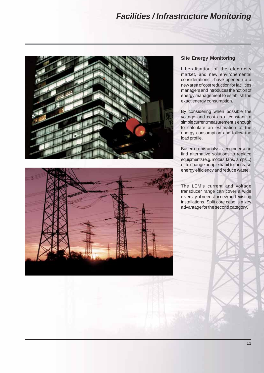## *Facilities / Infrastructure Monitoring*





### **Site Energy Monitoring**

Liberalisation of the electricity market, and new environemental considerations, have opened up a new area of cost reduction for facilities managers and introduces the notion of energy management to establish the exact energy consumption.

By considering when possible the voltage and cost as a constant, a simple current measurement is enough to calculate an estimation of the energy consumption and follow the load profile.

Based on this analysis, engineers can find alternative solutions to replace equipments (e.g. motors, fans, lamps...) or to change people habit to increase energy efficiency and reduce waste.

The LEM's current and voltage transducer range can cover a wide diversity of needs for new and existing installations. Split core case is a key advantage for the second category.